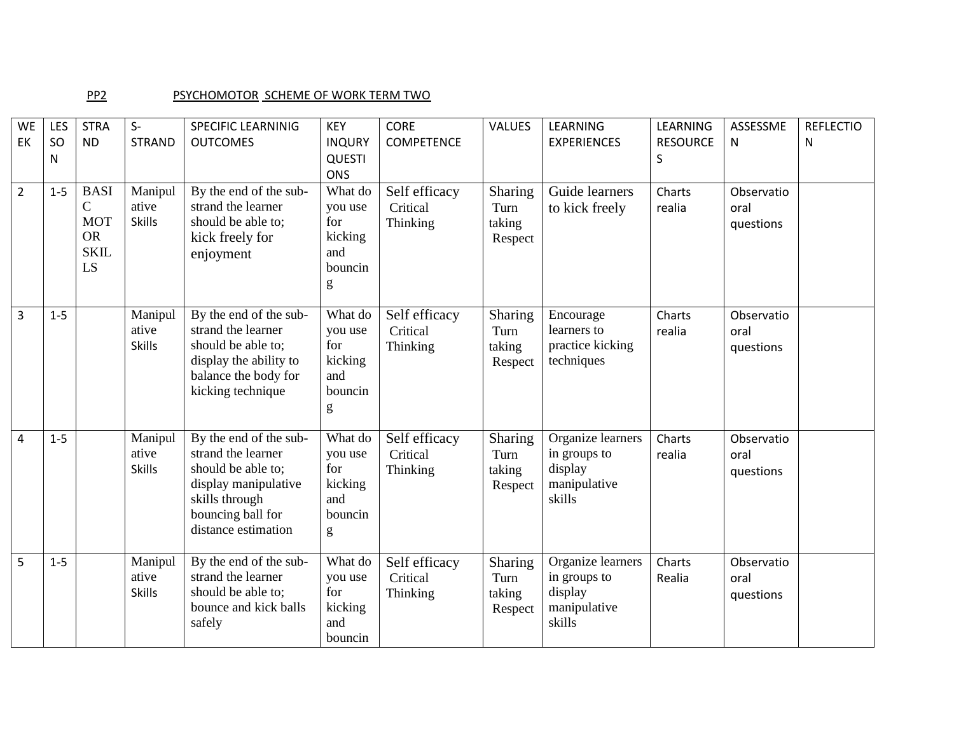## PP2 PSYCHOMOTOR SCHEME OF WORK TERM TWO

| <b>WE</b><br>EK | LES<br>SO<br>N | <b>STRA</b><br><b>ND</b>                                                     | $S-$<br><b>STRAND</b>             | <b>SPECIFIC LEARNINIG</b><br><b>OUTCOMES</b>                                                                                                             | <b>KEY</b><br><b>INQURY</b><br><b>QUESTI</b><br><b>ONS</b>                   | <b>CORE</b><br><b>COMPETENCE</b>      | VALUES                               | LEARNING<br><b>EXPERIENCES</b>                                         | LEARNING<br><b>RESOURCE</b><br>S | ASSESSME<br>N                   | <b>REFLECTIO</b><br>N |
|-----------------|----------------|------------------------------------------------------------------------------|-----------------------------------|----------------------------------------------------------------------------------------------------------------------------------------------------------|------------------------------------------------------------------------------|---------------------------------------|--------------------------------------|------------------------------------------------------------------------|----------------------------------|---------------------------------|-----------------------|
| $\overline{2}$  | $1-5$          | <b>BASI</b><br>$\mathcal{C}$<br><b>MOT</b><br><b>OR</b><br><b>SKIL</b><br>LS | Manipul<br>ative<br><b>Skills</b> | By the end of the sub-<br>strand the learner<br>should be able to;<br>kick freely for<br>enjoyment                                                       | What do<br>you use<br>for<br>kicking<br>and<br>bouncin<br>$\mathbf{g}% _{0}$ | Self efficacy<br>Critical<br>Thinking | Sharing<br>Turn<br>taking<br>Respect | Guide learners<br>to kick freely                                       | Charts<br>realia                 | Observatio<br>oral<br>questions |                       |
| 3               | $1-5$          |                                                                              | Manipul<br>ative<br><b>Skills</b> | By the end of the sub-<br>strand the learner<br>should be able to;<br>display the ability to<br>balance the body for<br>kicking technique                | What do<br>you use<br>for<br>kicking<br>and<br>bouncin<br>g                  | Self efficacy<br>Critical<br>Thinking | Sharing<br>Turn<br>taking<br>Respect | Encourage<br>learners to<br>practice kicking<br>techniques             | Charts<br>realia                 | Observatio<br>oral<br>questions |                       |
| 4               | $1 - 5$        |                                                                              | Manipul<br>ative<br><b>Skills</b> | By the end of the sub-<br>strand the learner<br>should be able to;<br>display manipulative<br>skills through<br>bouncing ball for<br>distance estimation | What do<br>you use<br>for<br>kicking<br>and<br>bouncin<br>g                  | Self efficacy<br>Critical<br>Thinking | Sharing<br>Turn<br>taking<br>Respect | Organize learners<br>in groups to<br>display<br>manipulative<br>skills | Charts<br>realia                 | Observatio<br>oral<br>questions |                       |
| 5               | $1-5$          |                                                                              | Manipul<br>ative<br><b>Skills</b> | By the end of the sub-<br>strand the learner<br>should be able to;<br>bounce and kick balls<br>safely                                                    | What do<br>you use<br>for<br>kicking<br>and<br>bouncin                       | Self efficacy<br>Critical<br>Thinking | Sharing<br>Turn<br>taking<br>Respect | Organize learners<br>in groups to<br>display<br>manipulative<br>skills | Charts<br>Realia                 | Observatio<br>oral<br>questions |                       |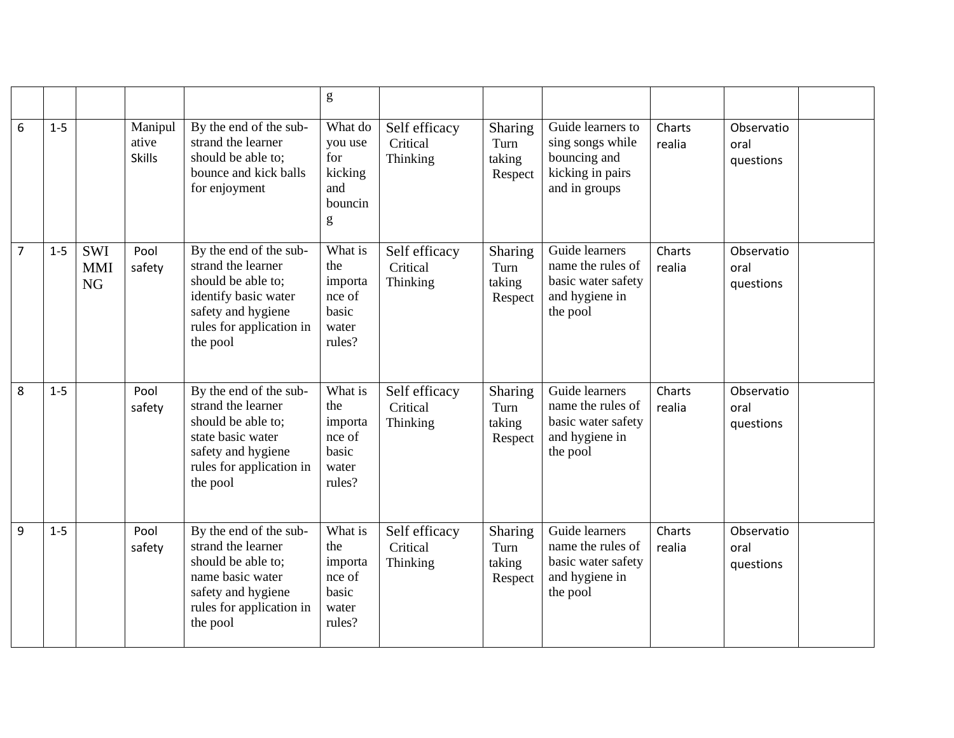|                 |         |                                       |                                   |                                                                                                                                                          | $\mathbf{g}% _{T}=\mathbf{g}_{T}=\mathbf{g}_{T}=\mathbf{g}_{T}=\mathbf{g}_{T}=\mathbf{g}_{T}=\mathbf{g}_{T}=\mathbf{g}_{T}=\mathbf{g}_{T}=\mathbf{g}_{T}=\mathbf{g}_{T}=\mathbf{g}_{T}=\mathbf{g}_{T}=\mathbf{g}_{T}=\mathbf{g}_{T}=\mathbf{g}_{T}=\mathbf{g}_{T}=\mathbf{g}_{T}=\mathbf{g}_{T}=\mathbf{g}_{T}=\mathbf{g}_{T}=\mathbf{g}_{T}=\mathbf{g}_{T}=\mathbf{g}_{T}=\mathbf{g}_{T}=\mathbf{g}_{T}=\mathbf{g}_{T}=\math$ |                                       |                                      |                                                                                            |                  |                                 |  |
|-----------------|---------|---------------------------------------|-----------------------------------|----------------------------------------------------------------------------------------------------------------------------------------------------------|--------------------------------------------------------------------------------------------------------------------------------------------------------------------------------------------------------------------------------------------------------------------------------------------------------------------------------------------------------------------------------------------------------------------------------|---------------------------------------|--------------------------------------|--------------------------------------------------------------------------------------------|------------------|---------------------------------|--|
| $6\phantom{1}6$ | $1 - 5$ |                                       | Manipul<br>ative<br><b>Skills</b> | By the end of the sub-<br>strand the learner<br>should be able to;<br>bounce and kick balls<br>for enjoyment                                             | What do<br>you use<br>for<br>kicking<br>and<br>bouncin<br>g                                                                                                                                                                                                                                                                                                                                                                    | Self efficacy<br>Critical<br>Thinking | Sharing<br>Turn<br>taking<br>Respect | Guide learners to<br>sing songs while<br>bouncing and<br>kicking in pairs<br>and in groups | Charts<br>realia | Observatio<br>oral<br>questions |  |
| $\overline{7}$  | $1-5$   | <b>SWI</b><br><b>MMI</b><br><b>NG</b> | Pool<br>safety                    | By the end of the sub-<br>strand the learner<br>should be able to;<br>identify basic water<br>safety and hygiene<br>rules for application in<br>the pool | What is<br>the<br>importa<br>nce of<br>basic<br>water<br>rules?                                                                                                                                                                                                                                                                                                                                                                | Self efficacy<br>Critical<br>Thinking | Sharing<br>Turn<br>taking<br>Respect | Guide learners<br>name the rules of<br>basic water safety<br>and hygiene in<br>the pool    | Charts<br>realia | Observatio<br>oral<br>questions |  |
| 8               | $1 - 5$ |                                       | Pool<br>safety                    | By the end of the sub-<br>strand the learner<br>should be able to:<br>state basic water<br>safety and hygiene<br>rules for application in<br>the pool    | What is<br>the<br>importa<br>nce of<br>basic<br>water<br>rules?                                                                                                                                                                                                                                                                                                                                                                | Self efficacy<br>Critical<br>Thinking | Sharing<br>Turn<br>taking<br>Respect | Guide learners<br>name the rules of<br>basic water safety<br>and hygiene in<br>the pool    | Charts<br>realia | Observatio<br>oral<br>questions |  |
| $\overline{9}$  | $1 - 5$ |                                       | Pool<br>safety                    | By the end of the sub-<br>strand the learner<br>should be able to;<br>name basic water<br>safety and hygiene<br>rules for application in<br>the pool     | What is<br>the<br>importa<br>nce of<br>basic<br>water<br>rules?                                                                                                                                                                                                                                                                                                                                                                | Self efficacy<br>Critical<br>Thinking | Sharing<br>Turn<br>taking<br>Respect | Guide learners<br>name the rules of<br>basic water safety<br>and hygiene in<br>the pool    | Charts<br>realia | Observatio<br>oral<br>questions |  |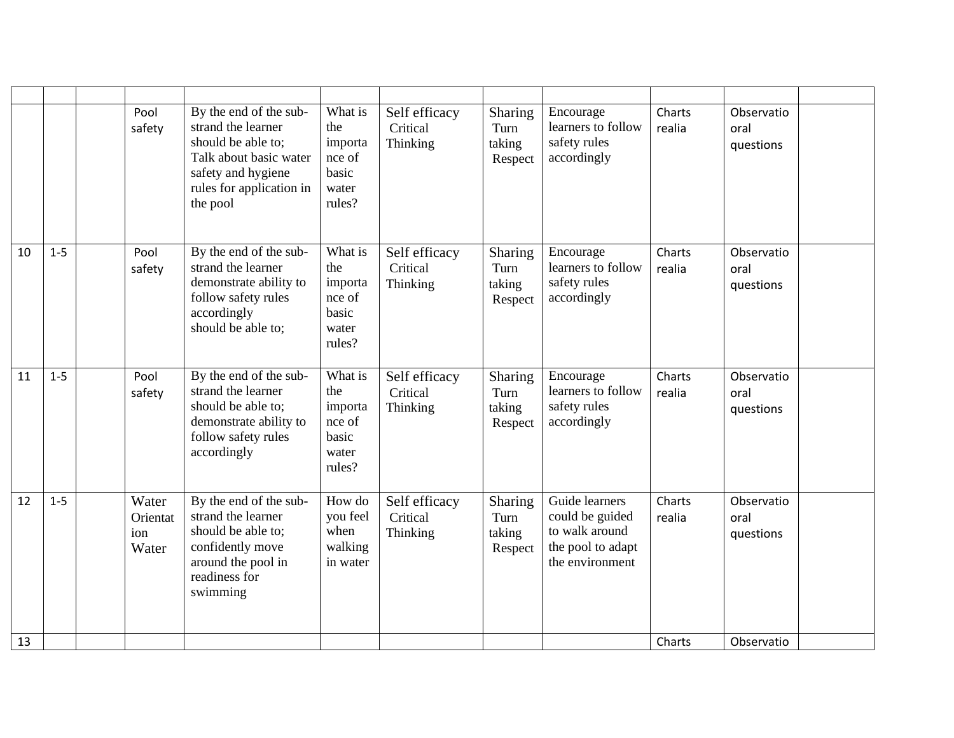|    |         | Pool<br>safety                    | By the end of the sub-<br>strand the learner<br>should be able to:<br>Talk about basic water<br>safety and hygiene<br>rules for application in<br>the pool | What is<br>the<br>importa<br>nce of<br>basic<br>water<br>rules? | Self efficacy<br>Critical<br>Thinking | Sharing<br>Turn<br>taking<br>Respect | Encourage<br>learners to follow<br>safety rules<br>accordingly                              | Charts<br>realia | Observatio<br>oral<br>questions |
|----|---------|-----------------------------------|------------------------------------------------------------------------------------------------------------------------------------------------------------|-----------------------------------------------------------------|---------------------------------------|--------------------------------------|---------------------------------------------------------------------------------------------|------------------|---------------------------------|
| 10 | $1-5$   | Pool<br>safety                    | By the end of the sub-<br>strand the learner<br>demonstrate ability to<br>follow safety rules<br>accordingly<br>should be able to:                         | What is<br>the<br>importa<br>nce of<br>basic<br>water<br>rules? | Self efficacy<br>Critical<br>Thinking | Sharing<br>Turn<br>taking<br>Respect | Encourage<br>learners to follow<br>safety rules<br>accordingly                              | Charts<br>realia | Observatio<br>oral<br>questions |
| 11 | $1 - 5$ | Pool<br>safety                    | By the end of the sub-<br>strand the learner<br>should be able to:<br>demonstrate ability to<br>follow safety rules<br>accordingly                         | What is<br>the<br>importa<br>nce of<br>basic<br>water<br>rules? | Self efficacy<br>Critical<br>Thinking | Sharing<br>Turn<br>taking<br>Respect | Encourage<br>learners to follow<br>safety rules<br>accordingly                              | Charts<br>realia | Observatio<br>oral<br>questions |
| 12 | $1 - 5$ | Water<br>Orientat<br>ion<br>Water | By the end of the sub-<br>strand the learner<br>should be able to;<br>confidently move<br>around the pool in<br>readiness for<br>swimming                  | How do<br>you feel<br>when<br>walking<br>in water               | Self efficacy<br>Critical<br>Thinking | Sharing<br>Turn<br>taking<br>Respect | Guide learners<br>could be guided<br>to walk around<br>the pool to adapt<br>the environment | Charts<br>realia | Observatio<br>oral<br>questions |
| 13 |         |                                   |                                                                                                                                                            |                                                                 |                                       |                                      |                                                                                             | Charts           | Observatio                      |